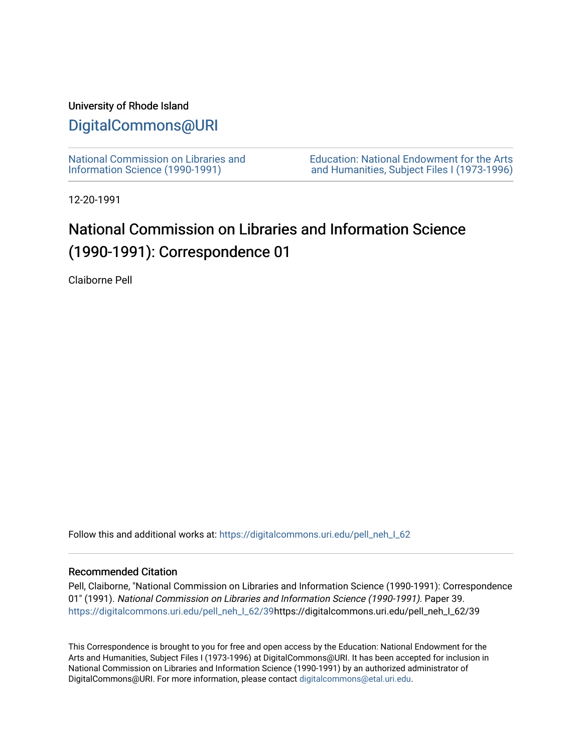## University of Rhode Island

## [DigitalCommons@URI](https://digitalcommons.uri.edu/)

[National Commission on Libraries and](https://digitalcommons.uri.edu/pell_neh_I_62) [Information Science \(1990-1991\)](https://digitalcommons.uri.edu/pell_neh_I_62) 

[Education: National Endowment for the Arts](https://digitalcommons.uri.edu/pell_neh_I)  [and Humanities, Subject Files I \(1973-1996\)](https://digitalcommons.uri.edu/pell_neh_I) 

12-20-1991

## National Commission on Libraries and Information Science (1990-1991): Correspondence 01

Claiborne Pell

Follow this and additional works at: https://digitalcommons.uri.edu/pell\_neh\_I\_62

## Recommended Citation

Pell, Claiborne, "National Commission on Libraries and Information Science (1990-1991): Correspondence 01" (1991). National Commission on Libraries and Information Science (1990-1991). Paper 39. [https://digitalcommons.uri.edu/pell\\_neh\\_I\\_62/39h](https://digitalcommons.uri.edu/pell_neh_I_62/39?utm_source=digitalcommons.uri.edu%2Fpell_neh_I_62%2F39&utm_medium=PDF&utm_campaign=PDFCoverPages)ttps://digitalcommons.uri.edu/pell\_neh\_I\_62/39

This Correspondence is brought to you for free and open access by the Education: National Endowment for the Arts and Humanities, Subject Files I (1973-1996) at DigitalCommons@URI. It has been accepted for inclusion in National Commission on Libraries and Information Science (1990-1991) by an authorized administrator of DigitalCommons@URI. For more information, please contact [digitalcommons@etal.uri.edu.](mailto:digitalcommons@etal.uri.edu)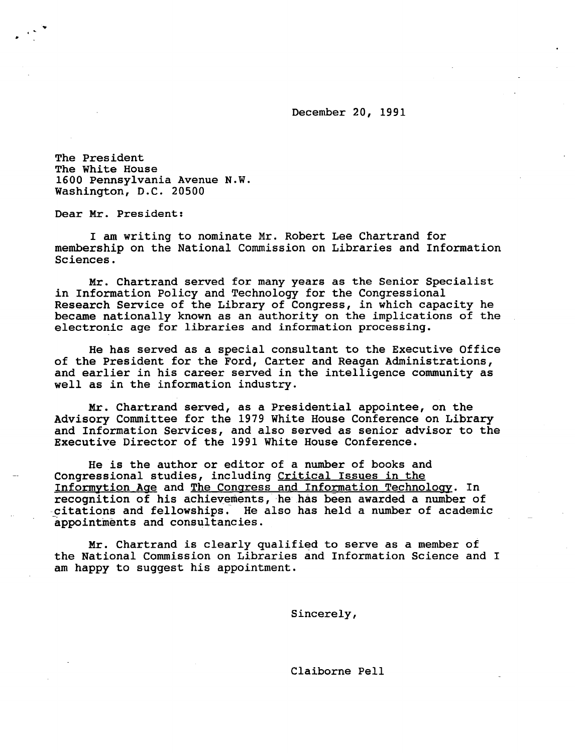December 20, 1991

The President The White House 1600 Pennsylvania Avenue N.W. Washington, D.C. 20500

Dear Mr. President:

I am writing to nominate Mr. Robert Lee Chartrand for membership on the National Commission on Libraries and Information Sciences.

Mr. Chartrand served for many years as the Senior Specialist in Information Policy and Technology for the Congressional Research Service of the Library of Congress, in which capacity he became nationally known as an authority on the implications of the electronic age for libraries and information processing.

He has served as a special consultant to the Executive Office of the President for the Ford, Carter and Reagan Administrations, and earlier in his career served in the intelligence community as well as in the information industry.

Mr. Chartrand served, as a Presidential appointee, on the Advisory Committee for the 1979 White House Conference on Library and Information Services, and also served as senior advisor to the Executive Director of the 1991 White House Conference.

He is the author or editor of a number of books and Congressional studies, including Critical Issues in the Informytion Age and The Congress and Information Technology. In recognition of his achievements, he has been awarded a number of citations and fellowships. He also has held a number of academic appointments and consultancies.

Mr. Chartrand is clearly qualified to serve as a member of the National Commission on Libraries and Information Science and I am happy to suggest his appointment.

Sincerely,

Claiborne Pell